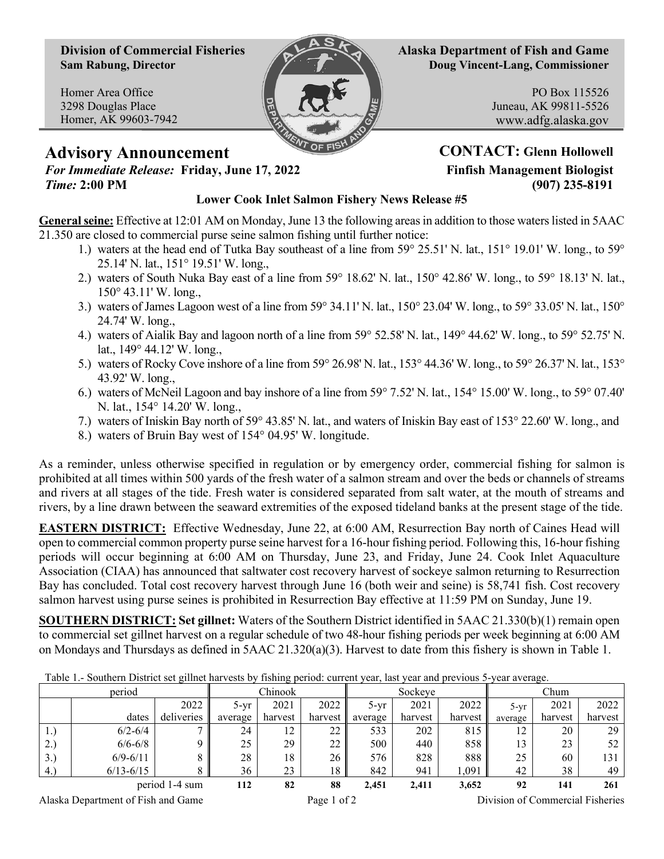**Division of Commercial Fisheries Sam Rabung, Director**

Homer Area Office 3298 Douglas Place Homer, AK 99603-7942



**Alaska Department of Fish and Game Doug Vincent-Lang, Commissioner**

> PO Box 115526 Juneau, AK 99811-5526 www.adfg.alaska.gov

## **Advisory Announcement CONTACT:** Glenn Hollowell *For Immediate Release:* Friday, June 17, 2022 **Finfish Management Biologist**

*Time:* **2:00 PM (907) 235-8191**

## **Lower Cook Inlet Salmon Fishery News Release #5**

**General seine:** Effective at 12:01 AM on Monday, June 13 the following areas in addition to those waters listed in 5AAC 21.350 are closed to commercial purse seine salmon fishing until further notice:

- 1.) waters at the head end of Tutka Bay southeast of a line from 59° 25.51' N. lat., 151° 19.01' W. long., to 59° 25.14' N. lat., 151° 19.51' W. long.,
- 2.) waters of South Nuka Bay east of a line from 59° 18.62' N. lat., 150° 42.86' W. long., to 59° 18.13' N. lat., 150° 43.11' W. long.,
- 3.) waters of James Lagoon west of a line from  $59^{\circ}$  34.11' N. lat.,  $150^{\circ}$  23.04' W. long., to  $59^{\circ}$  33.05' N. lat.,  $150^{\circ}$ 24.74' W. long.,
- 4.) waters of Aialik Bay and lagoon north of a line from 59° 52.58' N. lat., 149° 44.62' W. long., to 59° 52.75' N. lat., 149° 44.12' W. long.,
- 5.) waters of Rocky Cove inshore of a line from 59° 26.98' N. lat., 153° 44.36' W. long., to 59° 26.37' N. lat., 153° 43.92' W. long.,
- 6.) waters of McNeil Lagoon and bay inshore of a line from 59° 7.52' N. lat., 154° 15.00' W. long., to 59° 07.40' N. lat., 154° 14.20' W. long.,
- 7.) waters of Iniskin Bay north of 59° 43.85' N. lat., and waters of Iniskin Bay east of 153° 22.60' W. long., and
- 8.) waters of Bruin Bay west of 154° 04.95' W. longitude.

As a reminder, unless otherwise specified in regulation or by emergency order, commercial fishing for salmon is prohibited at all times within 500 yards of the fresh water of a salmon stream and over the beds or channels of streams and rivers at all stages of the tide. Fresh water is considered separated from salt water, at the mouth of streams and rivers, by a line drawn between the seaward extremities of the exposed tideland banks at the present stage of the tide.

**EASTERN DISTRICT:** Effective Wednesday, June 22, at 6:00 AM, Resurrection Bay north of Caines Head will open to commercial common property purse seine harvest for a 16-hour fishing period. Following this, 16-hour fishing periods will occur beginning at 6:00 AM on Thursday, June 23, and Friday, June 24. Cook Inlet Aquaculture Association (CIAA) has announced that saltwater cost recovery harvest of sockeye salmon returning to Resurrection Bay has concluded. Total cost recovery harvest through June 16 (both weir and seine) is 58,741 fish. Cost recovery salmon harvest using purse seines is prohibited in Resurrection Bay effective at 11:59 PM on Sunday, June 19.

**SOUTHERN DISTRICT: Set gillnet:** Waters of the Southern District identified in 5AAC 21.330(b)(1) remain open to commercial set gillnet harvest on a regular schedule of two 48-hour fishing periods per week beginning at 6:00 AM on Mondays and Thursdays as defined in 5AAC 21.320(a)(3). Harvest to date from this fishery is shown in Table 1.

| $\sim$ 10 to 10 to 00 to $\sim$ 11 to 11 to 11 to 11 to 10 to 10 to 1<br>$\mu$ <sub>1</sub> , $\mu$ <sup><math>\mu</math></sup> <sub>1</sub> , $\sigma$ <sub>11</sub> , $\sigma$ <sub>111</sub> , $\sigma$ <sub>111</sub> , $\sigma$<br><b>COLA IGO</b><br>$\cdots$ |               |            |         |         |         |         |         |         |         |         |         |
|---------------------------------------------------------------------------------------------------------------------------------------------------------------------------------------------------------------------------------------------------------------------|---------------|------------|---------|---------|---------|---------|---------|---------|---------|---------|---------|
| period                                                                                                                                                                                                                                                              |               |            | Chinook |         |         | Sockeve |         |         | Chum    |         |         |
|                                                                                                                                                                                                                                                                     |               | 2022       | $5-yr$  | 2021    | 2022    | $5-vr$  | 2021    | 2022    | 5-yr    | 2021    | 2022    |
|                                                                                                                                                                                                                                                                     | dates         | deliveries | average | harvest | harvest | average | harvest | harvest | average | harvest | harvest |
| 1.                                                                                                                                                                                                                                                                  | $6/2 - 6/4$   |            | 24      | 12      | 22      | 533     | 202     | 815     | 12      | 20      | 29      |
| 2.1                                                                                                                                                                                                                                                                 | $6/6 - 6/8$   |            | 25      | 29      | 22      | 500     | 440     | 858     | 13      | 23      | 52      |
| 3.)                                                                                                                                                                                                                                                                 | $6/9 - 6/11$  |            | 28      | 18      | 26      | 576     | 828     | 888     | 25      | 60      | 131     |
| (4)                                                                                                                                                                                                                                                                 | $6/13 - 6/15$ |            | 36      | 23      | 18      | 842     | 941     | 1,091   | 42      | 38      | 49      |
| period 1-4 sum                                                                                                                                                                                                                                                      |               | 112        | 82      | 88      | 2,451   | 2,411   | 3,652   | 92      | 141     | 261     |         |

Table 1.- Southern District set gillnet harvests by fishing period: current year, last year and previous 5-year average.

Alaska Department of Fish and Game Page 1 of 2 Division of Commercial Fisheries